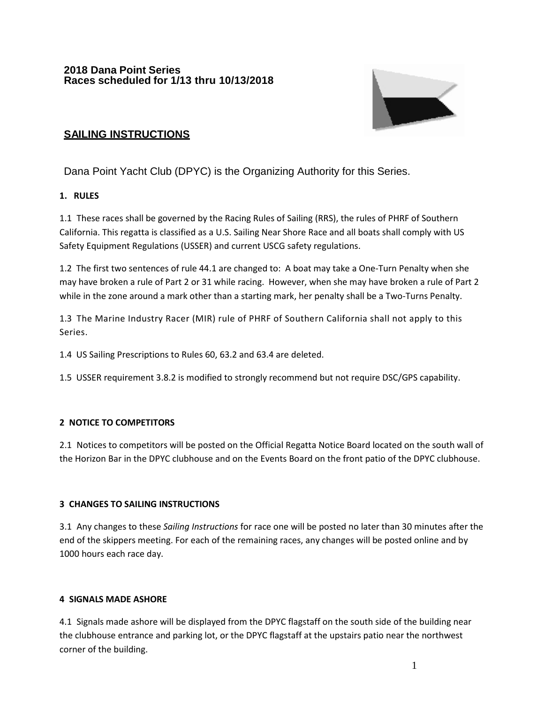

# **SAILING INSTRUCTIONS**

Dana Point Yacht Club (DPYC) is the Organizing Authority for this Series.

# **1. RULES**

1.1 These races shall be governed by the Racing Rules of Sailing (RRS), the rules of PHRF of Southern California. This regatta is classified as a U.S. Sailing Near Shore Race and all boats shall comply with US Safety Equipment Regulations (USSER) and current USCG safety regulations.

1.2 The first two sentences of rule 44.1 are changed to: A boat may take a One-Turn Penalty when she may have broken a rule of Part 2 or 31 while racing. However, when she may have broken a rule of Part 2 while in the zone around a mark other than a starting mark, her penalty shall be a Two-Turns Penalty.

1.3 The Marine Industry Racer (MIR) rule of PHRF of Southern California shall not apply to this Series.

1.4 US Sailing Prescriptions to Rules 60, 63.2 and 63.4 are deleted.

1.5 USSER requirement 3.8.2 is modified to strongly recommend but not require DSC/GPS capability.

# **2 NOTICE TO COMPETITORS**

2.1 Notices to competitors will be posted on the Official Regatta Notice Board located on the south wall of the Horizon Bar in the DPYC clubhouse and on the Events Board on the front patio of the DPYC clubhouse.

# **3 CHANGES TO SAILING INSTRUCTIONS**

3.1 Any changes to these *Sailing Instructions* for race one will be posted no later than 30 minutes after the end of the skippers meeting. For each of the remaining races, any changes will be posted online and by 1000 hours each race day.

# **4 SIGNALS MADE ASHORE**

4.1 Signals made ashore will be displayed from the DPYC flagstaff on the south side of the building near the clubhouse entrance and parking lot, or the DPYC flagstaff at the upstairs patio near the northwest corner of the building.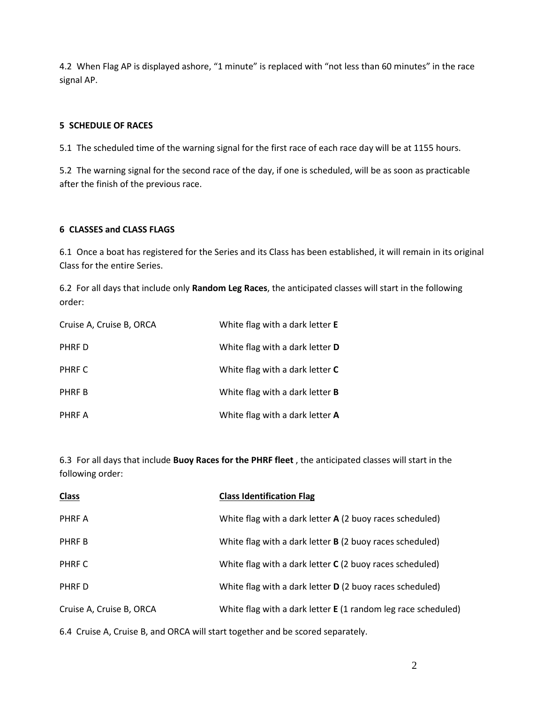4.2 When Flag AP is displayed ashore, "1 minute" is replaced with "not less than 60 minutes" in the race signal AP.

### **5 SCHEDULE OF RACES**

5.1 The scheduled time of the warning signal for the first race of each race day will be at 1155 hours.

5.2 The warning signal for the second race of the day, if one is scheduled, will be as soon as practicable after the finish of the previous race.

#### **6 CLASSES and CLASS FLAGS**

6.1 Once a boat has registered for the Series and its Class has been established, it will remain in its original Class for the entire Series.

6.2 For all days that include only **Random Leg Races**, the anticipated classes will start in the following order:

| Cruise A, Cruise B, ORCA | White flag with a dark letter <b>E</b> |
|--------------------------|----------------------------------------|
| PHRF D                   | White flag with a dark letter <b>D</b> |
| PHRF C                   | White flag with a dark letter C        |
| PHRF B                   | White flag with a dark letter <b>B</b> |
| PHRF A                   | White flag with a dark letter A        |

6.3 For all days that include **Buoy Races for the PHRF fleet** , the anticipated classes will start in the following order:

| <b>Class</b>             | <b>Class Identification Flag</b>                                |
|--------------------------|-----------------------------------------------------------------|
| PHRF A                   | White flag with a dark letter A (2 buoy races scheduled)        |
| PHRF B                   | White flag with a dark letter <b>B</b> (2 buoy races scheduled) |
| PHRF C                   | White flag with a dark letter C (2 buoy races scheduled)        |
| PHRF D                   | White flag with a dark letter <b>D</b> (2 buoy races scheduled) |
| Cruise A, Cruise B, ORCA | White flag with a dark letter E (1 random leg race scheduled)   |
|                          |                                                                 |

6.4 Cruise A, Cruise B, and ORCA will start together and be scored separately.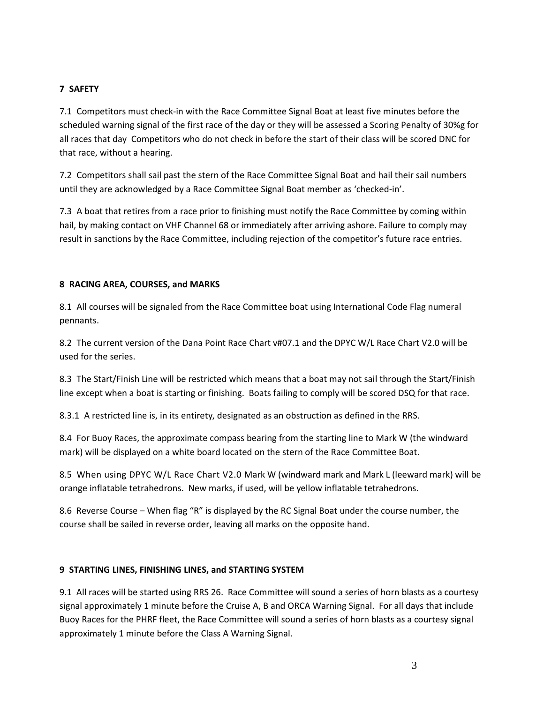### **7 SAFETY**

7.1 Competitors must check-in with the Race Committee Signal Boat at least five minutes before the scheduled warning signal of the first race of the day or they will be assessed a Scoring Penalty of 30%g for all races that day Competitors who do not check in before the start of their class will be scored DNC for that race, without a hearing.

7.2 Competitors shall sail past the stern of the Race Committee Signal Boat and hail their sail numbers until they are acknowledged by a Race Committee Signal Boat member as 'checked-in'.

7.3 A boat that retires from a race prior to finishing must notify the Race Committee by coming within hail, by making contact on VHF Channel 68 or immediately after arriving ashore. Failure to comply may result in sanctions by the Race Committee, including rejection of the competitor's future race entries.

### **8 RACING AREA, COURSES, and MARKS**

8.1 All courses will be signaled from the Race Committee boat using International Code Flag numeral pennants.

8.2 The current version of the Dana Point Race Chart v#07.1 and the DPYC W/L Race Chart V2.0 will be used for the series.

8.3 The Start/Finish Line will be restricted which means that a boat may not sail through the Start/Finish line except when a boat is starting or finishing. Boats failing to comply will be scored DSQ for that race.

8.3.1 A restricted line is, in its entirety, designated as an obstruction as defined in the RRS.

8.4 For Buoy Races, the approximate compass bearing from the starting line to Mark W (the windward mark) will be displayed on a white board located on the stern of the Race Committee Boat.

8.5 When using DPYC W/L Race Chart V2.0 Mark W (windward mark and Mark L (leeward mark) will be orange inflatable tetrahedrons. New marks, if used, will be yellow inflatable tetrahedrons.

8.6 Reverse Course – When flag "R" is displayed by the RC Signal Boat under the course number, the course shall be sailed in reverse order, leaving all marks on the opposite hand.

#### **9 STARTING LINES, FINISHING LINES, and STARTING SYSTEM**

9.1 All races will be started using RRS 26. Race Committee will sound a series of horn blasts as a courtesy signal approximately 1 minute before the Cruise A, B and ORCA Warning Signal. For all days that include Buoy Races for the PHRF fleet, the Race Committee will sound a series of horn blasts as a courtesy signal approximately 1 minute before the Class A Warning Signal.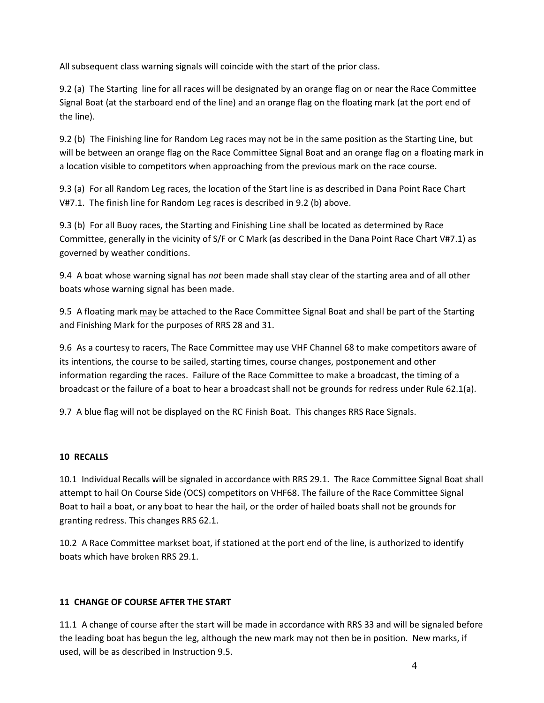All subsequent class warning signals will coincide with the start of the prior class.

9.2 (a) The Starting line for all races will be designated by an orange flag on or near the Race Committee Signal Boat (at the starboard end of the line) and an orange flag on the floating mark (at the port end of the line).

9.2 (b) The Finishing line for Random Leg races may not be in the same position as the Starting Line, but will be between an orange flag on the Race Committee Signal Boat and an orange flag on a floating mark in a location visible to competitors when approaching from the previous mark on the race course.

9.3 (a) For all Random Leg races, the location of the Start line is as described in Dana Point Race Chart V#7.1. The finish line for Random Leg races is described in 9.2 (b) above.

9.3 (b) For all Buoy races, the Starting and Finishing Line shall be located as determined by Race Committee, generally in the vicinity of S/F or C Mark (as described in the Dana Point Race Chart V#7.1) as governed by weather conditions.

9.4 A boat whose warning signal has *not* been made shall stay clear of the starting area and of all other boats whose warning signal has been made.

9.5 A floating mark may be attached to the Race Committee Signal Boat and shall be part of the Starting and Finishing Mark for the purposes of RRS 28 and 31.

9.6 As a courtesy to racers, The Race Committee may use VHF Channel 68 to make competitors aware of its intentions, the course to be sailed, starting times, course changes, postponement and other information regarding the races. Failure of the Race Committee to make a broadcast, the timing of a broadcast or the failure of a boat to hear a broadcast shall not be grounds for redress under Rule 62.1(a).

9.7 A blue flag will not be displayed on the RC Finish Boat. This changes RRS Race Signals.

# **10 RECALLS**

10.1 Individual Recalls will be signaled in accordance with RRS 29.1. The Race Committee Signal Boat shall attempt to hail On Course Side (OCS) competitors on VHF68. The failure of the Race Committee Signal Boat to hail a boat, or any boat to hear the hail, or the order of hailed boats shall not be grounds for granting redress. This changes RRS 62.1.

10.2 A Race Committee markset boat, if stationed at the port end of the line, is authorized to identify boats which have broken RRS 29.1.

# **11 CHANGE OF COURSE AFTER THE START**

11.1 A change of course after the start will be made in accordance with RRS 33 and will be signaled before the leading boat has begun the leg, although the new mark may not then be in position. New marks, if used, will be as described in Instruction 9.5.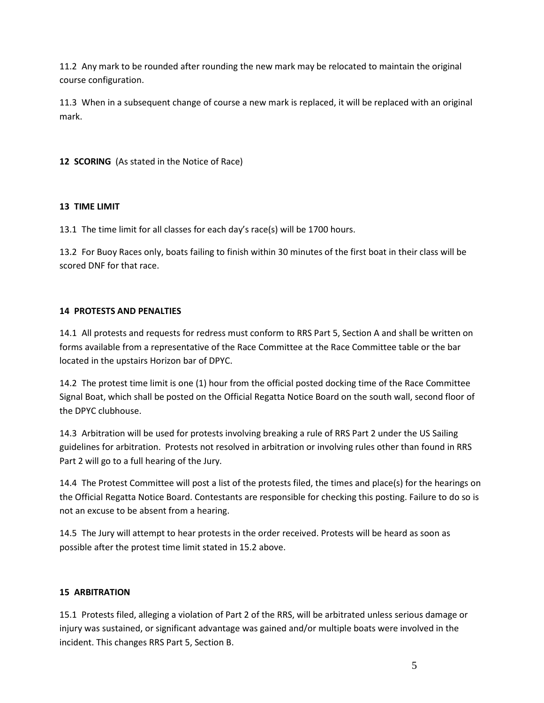11.2 Any mark to be rounded after rounding the new mark may be relocated to maintain the original course configuration.

11.3 When in a subsequent change of course a new mark is replaced, it will be replaced with an original mark.

**12 SCORING** (As stated in the Notice of Race)

# **13 TIME LIMIT**

13.1 The time limit for all classes for each day's race(s) will be 1700 hours.

13.2 For Buoy Races only, boats failing to finish within 30 minutes of the first boat in their class will be scored DNF for that race.

### **14 PROTESTS AND PENALTIES**

14.1 All protests and requests for redress must conform to RRS Part 5, Section A and shall be written on forms available from a representative of the Race Committee at the Race Committee table or the bar located in the upstairs Horizon bar of DPYC.

14.2 The protest time limit is one (1) hour from the official posted docking time of the Race Committee Signal Boat, which shall be posted on the Official Regatta Notice Board on the south wall, second floor of the DPYC clubhouse.

14.3 Arbitration will be used for protests involving breaking a rule of RRS Part 2 under the US Sailing guidelines for arbitration. Protests not resolved in arbitration or involving rules other than found in RRS Part 2 will go to a full hearing of the Jury.

14.4 The Protest Committee will post a list of the protests filed, the times and place(s) for the hearings on the Official Regatta Notice Board. Contestants are responsible for checking this posting. Failure to do so is not an excuse to be absent from a hearing.

14.5 The Jury will attempt to hear protests in the order received. Protests will be heard as soon as possible after the protest time limit stated in 15.2 above.

# **15 ARBITRATION**

15.1 Protests filed, alleging a violation of Part 2 of the RRS, will be arbitrated unless serious damage or injury was sustained, or significant advantage was gained and/or multiple boats were involved in the incident. This changes RRS Part 5, Section B.